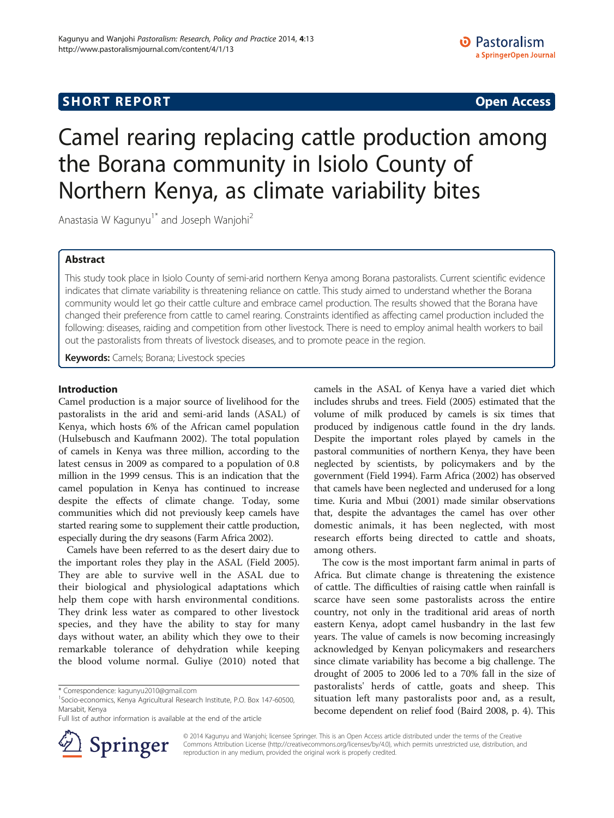## **SHORT REPORT SHORT CONSUMING THE CONSUMING THE CONSUMING THE CONSUMING THE CONSUMING THE CONSUMING THE CONSUMING THE CONSUMING THE CONSUMING THE CONSUMING THE CONSUMING THE CONSUMING THE CONSUMING THE CONSUMING THE CO**

# Camel rearing replacing cattle production among the Borana community in Isiolo County of Northern Kenya, as climate variability bites

Anastasia W Kagunyu<sup>1\*</sup> and Joseph Wanjohi<sup>2</sup>

## Abstract

This study took place in Isiolo County of semi-arid northern Kenya among Borana pastoralists. Current scientific evidence indicates that climate variability is threatening reliance on cattle. This study aimed to understand whether the Borana community would let go their cattle culture and embrace camel production. The results showed that the Borana have changed their preference from cattle to camel rearing. Constraints identified as affecting camel production included the following: diseases, raiding and competition from other livestock. There is need to employ animal health workers to bail out the pastoralists from threats of livestock diseases, and to promote peace in the region.

Keywords: Camels; Borana; Livestock species

## Introduction

Camel production is a major source of livelihood for the pastoralists in the arid and semi-arid lands (ASAL) of Kenya, which hosts 6% of the African camel population (Hulsebusch and Kaufmann [2002\)](#page-4-0). The total population of camels in Kenya was three million, according to the latest census in 2009 as compared to a population of 0.8 million in the 1999 census. This is an indication that the camel population in Kenya has continued to increase despite the effects of climate change. Today, some communities which did not previously keep camels have started rearing some to supplement their cattle production, especially during the dry seasons (Farm Africa [2002](#page-4-0)).

Camels have been referred to as the desert dairy due to the important roles they play in the ASAL (Field [2005](#page-4-0)). They are able to survive well in the ASAL due to their biological and physiological adaptations which help them cope with harsh environmental conditions. They drink less water as compared to other livestock species, and they have the ability to stay for many days without water, an ability which they owe to their remarkable tolerance of dehydration while keeping the blood volume normal. Guliye ([2010\)](#page-4-0) noted that



The cow is the most important farm animal in parts of Africa. But climate change is threatening the existence of cattle. The difficulties of raising cattle when rainfall is scarce have seen some pastoralists across the entire country, not only in the traditional arid areas of north eastern Kenya, adopt camel husbandry in the last few years. The value of camels is now becoming increasingly acknowledged by Kenyan policymakers and researchers since climate variability has become a big challenge. The drought of 2005 to 2006 led to a 70% fall in the size of pastoralists' herds of cattle, goats and sheep. This situation left many pastoralists poor and, as a result, become dependent on relief food (Baird [2008,](#page-4-0) p. 4). This



© 2014 Kagunyu and Wanjohi; licensee Springer. This is an Open Access article distributed under the terms of the Creative Commons Attribution License (<http://creativecommons.org/licenses/by/4.0>), which permits unrestricted use, distribution, and reproduction in any medium, provided the original work is properly credited.

<sup>\*</sup> Correspondence: [kagunyu2010@gmail.com](mailto:kagunyu2010@gmail.com) <sup>1</sup>

<sup>&</sup>lt;sup>1</sup>Socio-economics, Kenya Agricultural Research Institute, P.O. Box 147-60500, Marsabit, Kenya

Full list of author information is available at the end of the article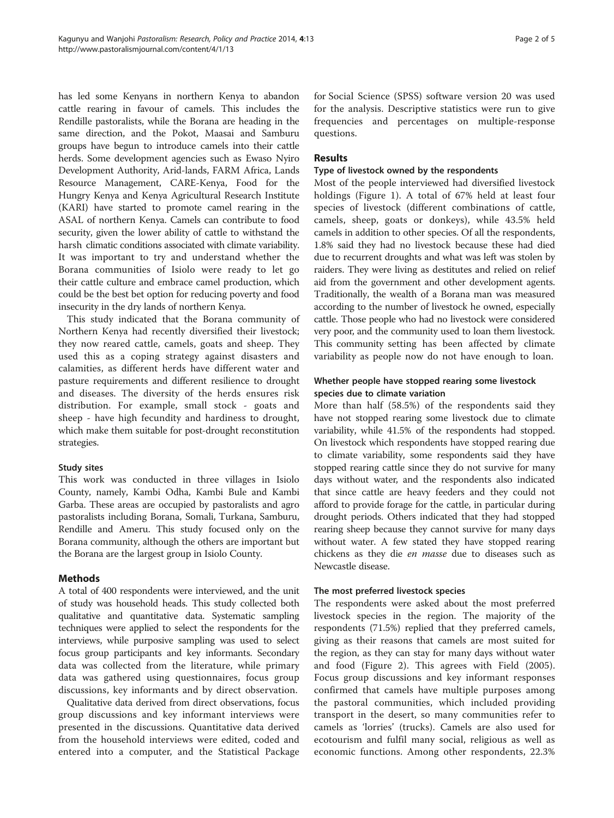has led some Kenyans in northern Kenya to abandon cattle rearing in favour of camels. This includes the Rendille pastoralists, while the Borana are heading in the same direction, and the Pokot, Maasai and Samburu groups have begun to introduce camels into their cattle herds. Some development agencies such as Ewaso Nyiro Development Authority, Arid-lands, FARM Africa, Lands Resource Management, CARE-Kenya, Food for the Hungry Kenya and Kenya Agricultural Research Institute (KARI) have started to promote camel rearing in the ASAL of northern Kenya. Camels can contribute to food security, given the lower ability of cattle to withstand the harsh climatic conditions associated with climate variability. It was important to try and understand whether the Borana communities of Isiolo were ready to let go their cattle culture and embrace camel production, which could be the best bet option for reducing poverty and food insecurity in the dry lands of northern Kenya.

This study indicated that the Borana community of Northern Kenya had recently diversified their livestock; they now reared cattle, camels, goats and sheep. They used this as a coping strategy against disasters and calamities, as different herds have different water and pasture requirements and different resilience to drought and diseases. The diversity of the herds ensures risk distribution. For example, small stock - goats and sheep - have high fecundity and hardiness to drought, which make them suitable for post-drought reconstitution strategies.

#### Study sites

This work was conducted in three villages in Isiolo County, namely, Kambi Odha, Kambi Bule and Kambi Garba. These areas are occupied by pastoralists and agro pastoralists including Borana, Somali, Turkana, Samburu, Rendille and Ameru. This study focused only on the Borana community, although the others are important but the Borana are the largest group in Isiolo County.

## Methods

A total of 400 respondents were interviewed, and the unit of study was household heads. This study collected both qualitative and quantitative data. Systematic sampling techniques were applied to select the respondents for the interviews, while purposive sampling was used to select focus group participants and key informants. Secondary data was collected from the literature, while primary data was gathered using questionnaires, focus group discussions, key informants and by direct observation.

Qualitative data derived from direct observations, focus group discussions and key informant interviews were presented in the discussions. Quantitative data derived from the household interviews were edited, coded and entered into a computer, and the Statistical Package for Social Science (SPSS) software version 20 was used for the analysis. Descriptive statistics were run to give frequencies and percentages on multiple-response questions.

## Results

#### Type of livestock owned by the respondents

Most of the people interviewed had diversified livestock holdings (Figure [1\)](#page-2-0). A total of 67% held at least four species of livestock (different combinations of cattle, camels, sheep, goats or donkeys), while 43.5% held camels in addition to other species. Of all the respondents, 1.8% said they had no livestock because these had died due to recurrent droughts and what was left was stolen by raiders. They were living as destitutes and relied on relief aid from the government and other development agents. Traditionally, the wealth of a Borana man was measured according to the number of livestock he owned, especially cattle. Those people who had no livestock were considered very poor, and the community used to loan them livestock. This community setting has been affected by climate variability as people now do not have enough to loan.

## Whether people have stopped rearing some livestock species due to climate variation

More than half (58.5%) of the respondents said they have not stopped rearing some livestock due to climate variability, while 41.5% of the respondents had stopped. On livestock which respondents have stopped rearing due to climate variability, some respondents said they have stopped rearing cattle since they do not survive for many days without water, and the respondents also indicated that since cattle are heavy feeders and they could not afford to provide forage for the cattle, in particular during drought periods. Others indicated that they had stopped rearing sheep because they cannot survive for many days without water. A few stated they have stopped rearing chickens as they die en masse due to diseases such as Newcastle disease.

#### The most preferred livestock species

The respondents were asked about the most preferred livestock species in the region. The majority of the respondents (71.5%) replied that they preferred camels, giving as their reasons that camels are most suited for the region, as they can stay for many days without water and food (Figure [2](#page-2-0)). This agrees with Field ([2005](#page-4-0)). Focus group discussions and key informant responses confirmed that camels have multiple purposes among the pastoral communities, which included providing transport in the desert, so many communities refer to camels as 'lorries' (trucks). Camels are also used for ecotourism and fulfil many social, religious as well as economic functions. Among other respondents, 22.3%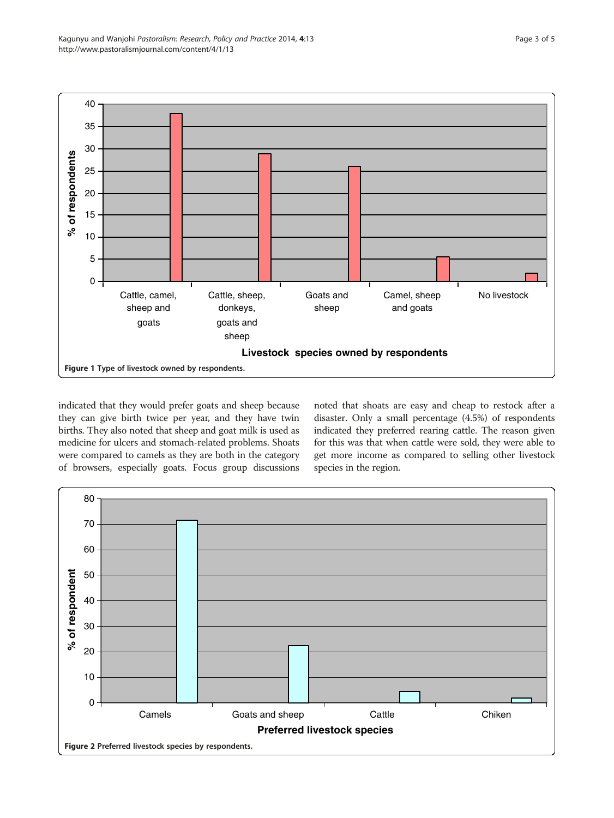<span id="page-2-0"></span>

indicated that they would prefer goats and sheep because they can give birth twice per year, and they have twin births. They also noted that sheep and goat milk is used as medicine for ulcers and stomach-related problems. Shoats were compared to camels as they are both in the category of browsers, especially goats. Focus group discussions noted that shoats are easy and cheap to restock after a disaster. Only a small percentage (4.5%) of respondents indicated they preferred rearing cattle. The reason given for this was that when cattle were sold, they were able to get more income as compared to selling other livestock species in the region.

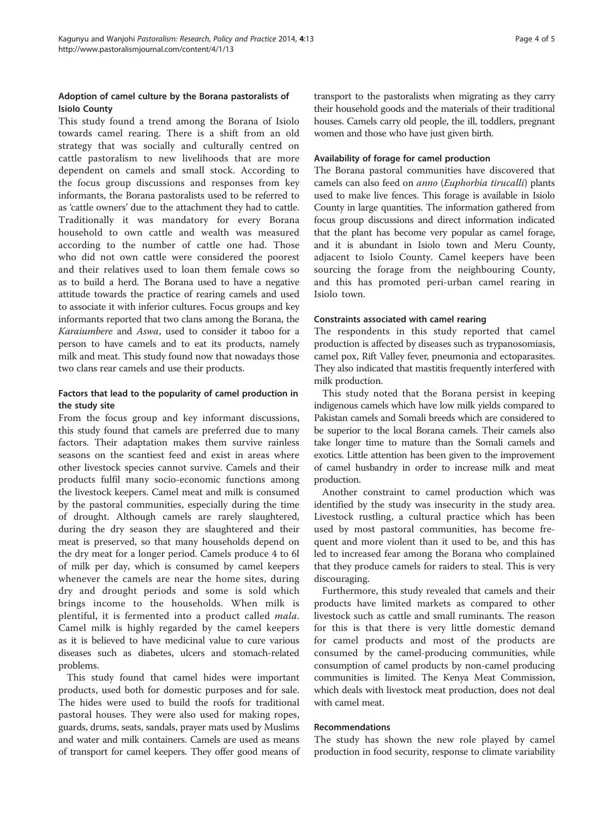## Adoption of camel culture by the Borana pastoralists of Isiolo County

This study found a trend among the Borana of Isiolo towards camel rearing. There is a shift from an old strategy that was socially and culturally centred on cattle pastoralism to new livelihoods that are more dependent on camels and small stock. According to the focus group discussions and responses from key informants, the Borana pastoralists used to be referred to as 'cattle owners' due to the attachment they had to cattle. Traditionally it was mandatory for every Borana household to own cattle and wealth was measured according to the number of cattle one had. Those who did not own cattle were considered the poorest and their relatives used to loan them female cows so as to build a herd. The Borana used to have a negative attitude towards the practice of rearing camels and used to associate it with inferior cultures. Focus groups and key informants reported that two clans among the Borana, the Karaiumbere and Aswa, used to consider it taboo for a person to have camels and to eat its products, namely milk and meat. This study found now that nowadays those two clans rear camels and use their products.

## Factors that lead to the popularity of camel production in the study site

From the focus group and key informant discussions, this study found that camels are preferred due to many factors. Their adaptation makes them survive rainless seasons on the scantiest feed and exist in areas where other livestock species cannot survive. Camels and their products fulfil many socio-economic functions among the livestock keepers. Camel meat and milk is consumed by the pastoral communities, especially during the time of drought. Although camels are rarely slaughtered, during the dry season they are slaughtered and their meat is preserved, so that many households depend on the dry meat for a longer period. Camels produce 4 to 6l of milk per day, which is consumed by camel keepers whenever the camels are near the home sites, during dry and drought periods and some is sold which brings income to the households. When milk is plentiful, it is fermented into a product called *mala*. Camel milk is highly regarded by the camel keepers as it is believed to have medicinal value to cure various diseases such as diabetes, ulcers and stomach-related problems.

This study found that camel hides were important products, used both for domestic purposes and for sale. The hides were used to build the roofs for traditional pastoral houses. They were also used for making ropes, guards, drums, seats, sandals, prayer mats used by Muslims and water and milk containers. Camels are used as means of transport for camel keepers. They offer good means of

transport to the pastoralists when migrating as they carry their household goods and the materials of their traditional houses. Camels carry old people, the ill, toddlers, pregnant women and those who have just given birth.

#### Availability of forage for camel production

The Borana pastoral communities have discovered that camels can also feed on anno (Euphorbia tirucalli) plants used to make live fences. This forage is available in Isiolo County in large quantities. The information gathered from focus group discussions and direct information indicated that the plant has become very popular as camel forage, and it is abundant in Isiolo town and Meru County, adjacent to Isiolo County. Camel keepers have been sourcing the forage from the neighbouring County, and this has promoted peri-urban camel rearing in Isiolo town.

#### Constraints associated with camel rearing

The respondents in this study reported that camel production is affected by diseases such as trypanosomiasis, camel pox, Rift Valley fever, pneumonia and ectoparasites. They also indicated that mastitis frequently interfered with milk production.

This study noted that the Borana persist in keeping indigenous camels which have low milk yields compared to Pakistan camels and Somali breeds which are considered to be superior to the local Borana camels. Their camels also take longer time to mature than the Somali camels and exotics. Little attention has been given to the improvement of camel husbandry in order to increase milk and meat production.

Another constraint to camel production which was identified by the study was insecurity in the study area. Livestock rustling, a cultural practice which has been used by most pastoral communities, has become frequent and more violent than it used to be, and this has led to increased fear among the Borana who complained that they produce camels for raiders to steal. This is very discouraging.

Furthermore, this study revealed that camels and their products have limited markets as compared to other livestock such as cattle and small ruminants. The reason for this is that there is very little domestic demand for camel products and most of the products are consumed by the camel-producing communities, while consumption of camel products by non-camel producing communities is limited. The Kenya Meat Commission, which deals with livestock meat production, does not deal with camel meat.

## Recommendations

The study has shown the new role played by camel production in food security, response to climate variability